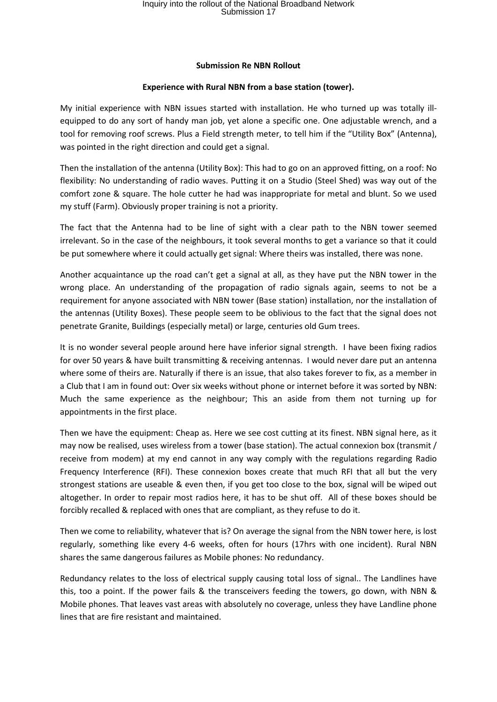## Inquiry into the rollout of the National Broadband Network Submission 17

## **Submission Re NBN Rollout**

## **Experience with Rural NBN from a base station (tower).**

My initial experience with NBN issues started with installation. He who turned up was totally illequipped to do any sort of handy man job, yet alone a specific one. One adjustable wrench, and a tool for removing roof screws. Plus a Field strength meter, to tell him if the "Utility Box" (Antenna), was pointed in the right direction and could get a signal.

Then the installation of the antenna (Utility Box): This had to go on an approved fitting, on a roof: No flexibility: No understanding of radio waves. Putting it on a Studio (Steel Shed) was way out of the comfort zone & square. The hole cutter he had was inappropriate for metal and blunt. So we used my stuff (Farm). Obviously proper training is not a priority.

The fact that the Antenna had to be line of sight with a clear path to the NBN tower seemed irrelevant. So in the case of the neighbours, it took several months to get a variance so that it could be put somewhere where it could actually get signal: Where theirs was installed, there was none.

Another acquaintance up the road can't get a signal at all, as they have put the NBN tower in the wrong place. An understanding of the propagation of radio signals again, seems to not be a requirement for anyone associated with NBN tower (Base station) installation, nor the installation of the antennas (Utility Boxes). These people seem to be oblivious to the fact that the signal does not penetrate Granite, Buildings (especially metal) or large, centuries old Gum trees.

It is no wonder several people around here have inferior signal strength. I have been fixing radios for over 50 years & have built transmitting & receiving antennas. I would never dare put an antenna where some of theirs are. Naturally if there is an issue, that also takes forever to fix, as a member in a Club that I am in found out: Over six weeks without phone or internet before it was sorted by NBN: Much the same experience as the neighbour; This an aside from them not turning up for appointments in the first place.

Then we have the equipment: Cheap as. Here we see cost cutting at its finest. NBN signal here, as it may now be realised, uses wireless from a tower (base station). The actual connexion box (transmit / receive from modem) at my end cannot in any way comply with the regulations regarding Radio Frequency Interference (RFI). These connexion boxes create that much RFI that all but the very strongest stations are useable & even then, if you get too close to the box, signal will be wiped out altogether. In order to repair most radios here, it has to be shut off. All of these boxes should be forcibly recalled & replaced with ones that are compliant, as they refuse to do it.

Then we come to reliability, whatever that is? On average the signal from the NBN tower here, is lost regularly, something like every 4-6 weeks, often for hours (17hrs with one incident). Rural NBN shares the same dangerous failures as Mobile phones: No redundancy.

Redundancy relates to the loss of electrical supply causing total loss of signal.. The Landlines have this, too a point. If the power fails & the transceivers feeding the towers, go down, with NBN & Mobile phones. That leaves vast areas with absolutely no coverage, unless they have Landline phone lines that are fire resistant and maintained.